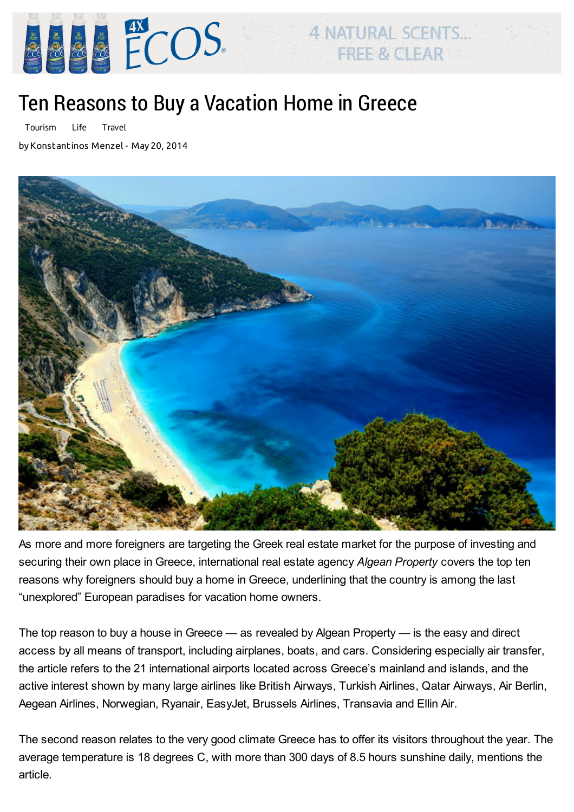

## Ten Reasons to Buy a Vacation Home in Greece

[Tourism](http://greece.greekreporter.com/category/greek-news/tourism/) [Life](http://greece.greekreporter.com/category/life/) [Travel](http://greece.greekreporter.com/category/life/travel/)

by [Konstantinos](http://greece.greekreporter.com/author/menzel/) Menzel - May 20, 2014



**4 NATURAL SCENTS...** 

FREE & CLEAR

As more and more foreigners are targeting the Greek real estate [market](http://greece.greekreporter.com/tag/greek-real-estate-market) for the purpose of investing and securing their own place in Greece, international real estate agency Algean Property covers the top ten reasons why foreigners should buy a home in Greece, underlining that the country is among the last "unexplored" European paradises for vacation home owners.

The top reason to buy a house in Greece — as revealed by Algean Property — is the easy and direct access by all means of transport, including airplanes, boats, and cars. Considering especially air transfer, the article refers to the 21 international airports located across Greece's mainland and islands, and the active interest shown by many large airlines like British Airways, Turkish Airlines, Qatar Airways, Air Berlin, [Aegean](http://greece.greekreporter.com/tag/aegean-airlines) Airlines, Norwegian, [Ryanair](http://greece.greekreporter.com/tag/ryanair), EasyJet, Brussels Airlines, Transavia and Ellin Air.

The second reason relates to the very good [climate](http://greece.greekreporter.com/tag/weather) Greece has to offer its visitors throughout the year. The average temperature is 18 degrees C, with more than 300 days of 8.5 hours sunshine daily, mentions the article.